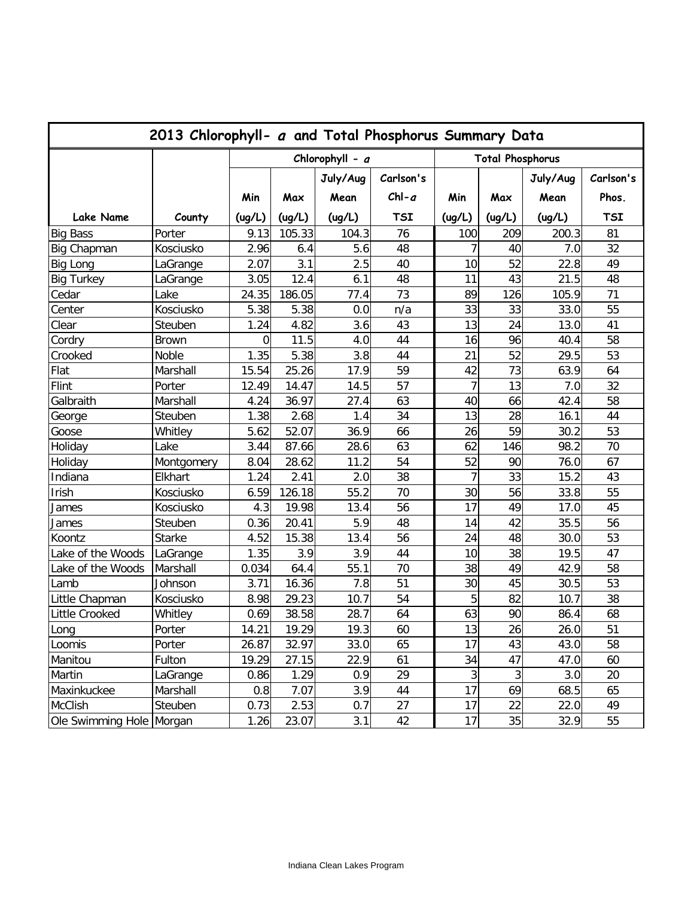| 2013 Chlorophyll- a and Total Phosphorus Summary Data |               |                   |        |          |                         |                |        |          |            |  |
|-------------------------------------------------------|---------------|-------------------|--------|----------|-------------------------|----------------|--------|----------|------------|--|
|                                                       |               | Chlorophyll - $a$ |        |          | <b>Total Phosphorus</b> |                |        |          |            |  |
|                                                       |               |                   |        | July/Aug | Carlson's               |                |        | July/Aug | Carlson's  |  |
|                                                       |               | Min               | Max    | Mean     | $ChI-a$                 | Min            | Max    | Mean     | Phos.      |  |
| <b>Lake Name</b>                                      | County        | (ug/L)            | (ug/L) | (ug/L)   | <b>TSI</b>              | (ug/L)         | (ug/L) | (ug/L)   | <b>TSI</b> |  |
| <b>Big Bass</b>                                       | Porter        | 9.13              | 105.33 | 104.3    | 76                      | 100            | 209    | 200.3    | 81         |  |
| Big Chapman                                           | Kosciusko     | 2.96              | 6.4    | 5.6      | 48                      | 7              | 40     | 7.0      | 32         |  |
| <b>Big Long</b>                                       | LaGrange      | 2.07              | 3.1    | 2.5      | 40                      | 10             | 52     | 22.8     | 49         |  |
| <b>Big Turkey</b>                                     | LaGrange      | 3.05              | 12.4   | 6.1      | 48                      | 11             | 43     | 21.5     | 48         |  |
| Cedar                                                 | Lake          | 24.35             | 186.05 | 77.4     | 73                      | 89             | 126    | 105.9    | 71         |  |
| Center                                                | Kosciusko     | 5.38              | 5.38   | 0.0      | n/a                     | 33             | 33     | 33.0     | 55         |  |
| Clear                                                 | Steuben       | 1.24              | 4.82   | 3.6      | 43                      | 13             | 24     | 13.0     | 41         |  |
| Cordry                                                | <b>Brown</b>  | 0                 | 11.5   | 4.0      | 44                      | 16             | 96     | 40.4     | 58         |  |
| Crooked                                               | Noble         | 1.35              | 5.38   | 3.8      | 44                      | 21             | 52     | 29.5     | 53         |  |
| Flat                                                  | Marshall      | 15.54             | 25.26  | 17.9     | 59                      | 42             | 73     | 63.9     | 64         |  |
| Flint                                                 | Porter        | 12.49             | 14.47  | 14.5     | 57                      | $\overline{7}$ | 13     | 7.0      | 32         |  |
| Galbraith                                             | Marshall      | 4.24              | 36.97  | 27.4     | 63                      | 40             | 66     | 42.4     | 58         |  |
| George                                                | Steuben       | 1.38              | 2.68   | 1.4      | 34                      | 13             | 28     | 16.1     | 44         |  |
| Goose                                                 | Whitley       | 5.62              | 52.07  | 36.9     | 66                      | 26             | 59     | 30.2     | 53         |  |
| Holiday                                               | Lake          | 3.44              | 87.66  | 28.6     | 63                      | 62             | 146    | 98.2     | 70         |  |
| Holiday                                               | Montgomery    | 8.04              | 28.62  | 11.2     | 54                      | 52             | 90     | 76.0     | 67         |  |
| Indiana                                               | Elkhart       | 1.24              | 2.41   | 2.0      | 38                      | $\overline{7}$ | 33     | 15.2     | 43         |  |
| Irish                                                 | Kosciusko     | 6.59              | 126.18 | 55.2     | 70                      | 30             | 56     | 33.8     | 55         |  |
| James                                                 | Kosciusko     | 4.3               | 19.98  | 13.4     | 56                      | 17             | 49     | 17.0     | 45         |  |
| James                                                 | Steuben       | 0.36              | 20.41  | 5.9      | 48                      | 14             | 42     | 35.5     | 56         |  |
| Koontz                                                | <b>Starke</b> | 4.52              | 15.38  | 13.4     | 56                      | 24             | 48     | 30.0     | 53         |  |
| Lake of the Woods                                     | LaGrange      | 1.35              | 3.9    | 3.9      | 44                      | 10             | 38     | 19.5     | 47         |  |
| Lake of the Woods                                     | Marshall      | 0.034             | 64.4   | 55.1     | 70                      | 38             | 49     | 42.9     | 58         |  |
| Lamb                                                  | Johnson       | 3.71              | 16.36  | 7.8      | 51                      | 30             | 45     | 30.5     | 53         |  |
| Little Chapman                                        | Kosciusko     | 8.98              | 29.23  | 10.7     | 54                      | 5              | 82     | 10.7     | 38         |  |
| Little Crooked                                        | Whitley       | 0.69              | 38.58  | 28.7     | 64                      | 63             | 90     | 86.4     | 68         |  |
| Long                                                  | Porter        | 14.21             | 19.29  | 19.3     | 60                      | 13             | 26     | 26.0     | 51         |  |
| Loomis                                                | Porter        | 26.87             | 32.97  | 33.0     | 65                      | 17             | 43     | 43.0     | 58         |  |
| Manitou                                               | Fulton        | 19.29             | 27.15  | 22.9     | 61                      | 34             | 47     | 47.0     | 60         |  |
| Martin                                                | LaGrange      | 0.86              | 1.29   | 0.9      | 29                      | 3              | 3      | 3.0      | 20         |  |
| Maxinkuckee                                           | Marshall      | 0.8               | 7.07   | 3.9      | 44                      | 17             | 69     | 68.5     | 65         |  |
| <b>McClish</b>                                        | Steuben       | 0.73              | 2.53   | 0.7      | 27                      | 17             | 22     | 22.0     | 49         |  |
| Ole Swimming Hole Morgan                              |               | 1.26              | 23.07  | 3.1      | 42                      | 17             | 35     | 32.9     | 55         |  |